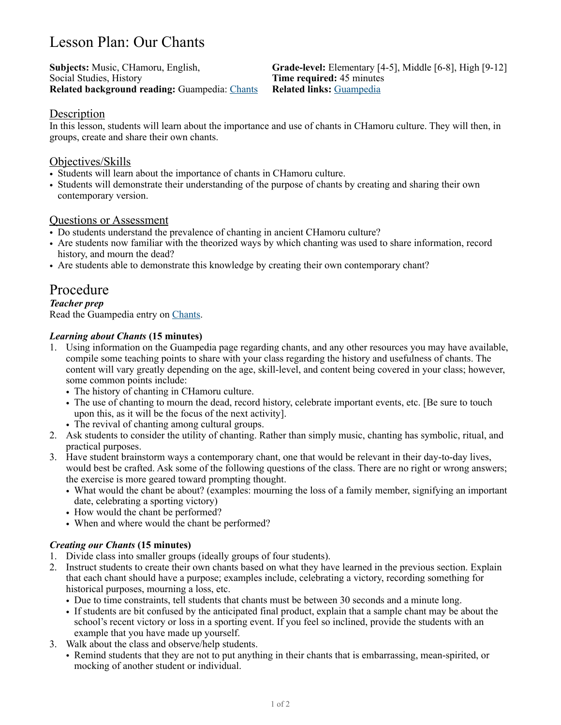# Lesson Plan: Our Chants

Social Studies, History **Time required:** 45 minutes **Related background reading:** Guampedia: [Chants](https://www.guampedia.com/chant/) **Related links:** [Guampedia](https://www.guampedia.com/)

**Subjects:** Music, CHamoru, English, **Grade-level:** Elementary [4-5], Middle [6-8], High [9-12]

# Description

In this lesson, students will learn about the importance and use of chants in CHamoru culture. They will then, in groups, create and share their own chants.

# Objectives/Skills

- Students will learn about the importance of chants in CHamoru culture.
- Students will demonstrate their understanding of the purpose of chants by creating and sharing their own contemporary version.

# Questions or Assessment

- Do students understand the prevalence of chanting in ancient CHamoru culture?
- Are students now familiar with the theorized ways by which chanting was used to share information, record history, and mourn the dead?
- Are students able to demonstrate this knowledge by creating their own contemporary chant?

# Procedure

#### *Teacher prep* Read the Guampedia entry on [Chants.](https://www.guampedia.com/chant/)

### *Learning about Chants* **(15 minutes)**

- 1. Using information on the Guampedia page regarding chants, and any other resources you may have available, compile some teaching points to share with your class regarding the history and usefulness of chants. The content will vary greatly depending on the age, skill-level, and content being covered in your class; however, some common points include:
	- The history of chanting in CHamoru culture.
	- The use of chanting to mourn the dead, record history, celebrate important events, etc. [Be sure to touch upon this, as it will be the focus of the next activity].
	- The revival of chanting among cultural groups.
- 2. Ask students to consider the utility of chanting. Rather than simply music, chanting has symbolic, ritual, and practical purposes.
- 3. Have student brainstorm ways a contemporary chant, one that would be relevant in their day-to-day lives, would best be crafted. Ask some of the following questions of the class. There are no right or wrong answers; the exercise is more geared toward prompting thought.
	- What would the chant be about? (examples: mourning the loss of a family member, signifying an important date, celebrating a sporting victory)
	- How would the chant be performed?
	- When and where would the chant be performed?

# *Creating our Chants* **(15 minutes)**

- 1. Divide class into smaller groups (ideally groups of four students).
- 2. Instruct students to create their own chants based on what they have learned in the previous section. Explain that each chant should have a purpose; examples include, celebrating a victory, recording something for historical purposes, mourning a loss, etc.
	- Due to time constraints, tell students that chants must be between 30 seconds and a minute long.
	- If students are bit confused by the anticipated final product, explain that a sample chant may be about the school's recent victory or loss in a sporting event. If you feel so inclined, provide the students with an example that you have made up yourself.
- 3. Walk about the class and observe/help students.
	- Remind students that they are not to put anything in their chants that is embarrassing, mean-spirited, or mocking of another student or individual.